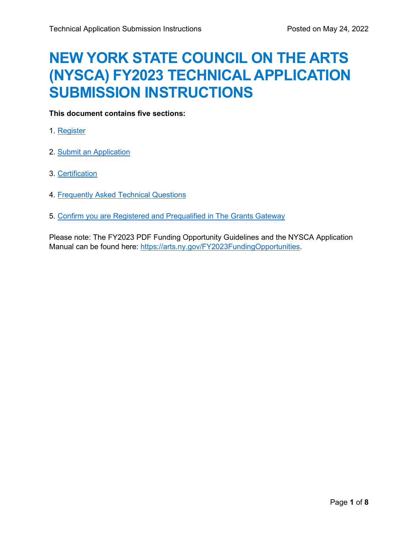# **NEW YORK STATE COUNCIL ON THE ARTS (NYSCA) FY2023 TECHNICAL APPLICATION SUBMISSION INSTRUCTIONS**

# **This document contains five sections:**

- 1. [Register](#page-1-0)
- 2. [Submit an Application](#page-2-0)
- 3. [Certification](#page-3-0)
- 4. [Frequently Asked Technical Questions](#page-4-0)
- 5. [Confirm you are Registered and Prequalified in The Grants Gateway](#page-6-0)

Please note: The FY2023 PDF Funding Opportunity Guidelines and the NYSCA Application Manual can be found here: [https://arts.ny.gov/FY2023FundingOpportunities.](https://arts.ny.gov/FY2023FundingOpportunities)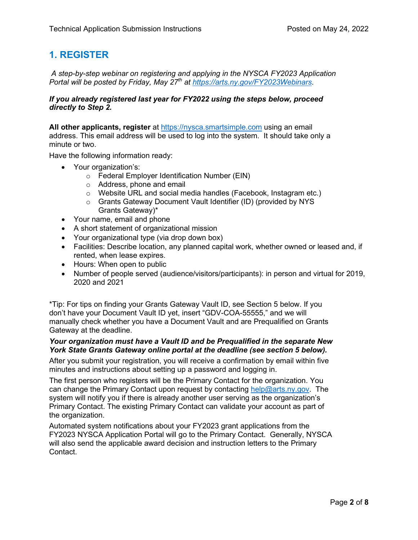# <span id="page-1-0"></span>**1. REGISTER**

*A step-by-step webinar on registering and applying in the NYSCA FY2023 Application Portal will be posted by Friday, May 27th at [https://arts.ny.gov/FY2023Webinars.](https://arts.ny.gov/FY2023Webinars)* 

## *If you already registered last year for FY2022 using the steps below, proceed directly to Step 2.*

**All other applicants, register** at [https://nysca.smartsimple.com](https://nysca.smartsimple.com/) using an email address. This email address will be used to log into the system. It should take only a minute or two.

Have the following information ready:

- Your organization's:
	- o Federal Employer Identification Number (EIN)
	- o Address, phone and email
	- o Website URL and social media handles (Facebook, Instagram etc.)
	- o Grants Gateway Document Vault Identifier (ID) (provided by NYS Grants Gateway)\*
- Your name, email and phone
- A short statement of organizational mission
- Your organizational type (via drop down box)
- Facilities: Describe location, any planned capital work, whether owned or leased and, if rented, when lease expires.
- Hours: When open to public
- Number of people served (audience/visitors/participants): in person and virtual for 2019, 2020 and 2021

\*Tip: For tips on finding your Grants Gateway Vault ID, see Section 5 below. If you don't have your Document Vault ID yet, insert "GDV-COA-55555," and we will manually check whether you have a Document Vault and are Prequalified on Grants Gateway at the deadline.

## *Your organization must have a Vault ID and be Prequalified in the separate New York State Grants Gateway online portal at the deadline (see section 5 below).*

After you submit your registration, you will receive a confirmation by email within five minutes and instructions about setting up a password and logging in.

The first person who registers will be the Primary Contact for the organization. You can change the Primary Contact upon request by contacting [help@arts.ny.gov.](mailto:help@arts.ny.gov) The system will notify you if there is already another user serving as the organization's Primary Contact. The existing Primary Contact can validate your account as part of the organization.

Automated system notifications about your FY2023 grant applications from the FY2023 NYSCA Application Portal will go to the Primary Contact. Generally, NYSCA will also send the applicable award decision and instruction letters to the Primary Contact.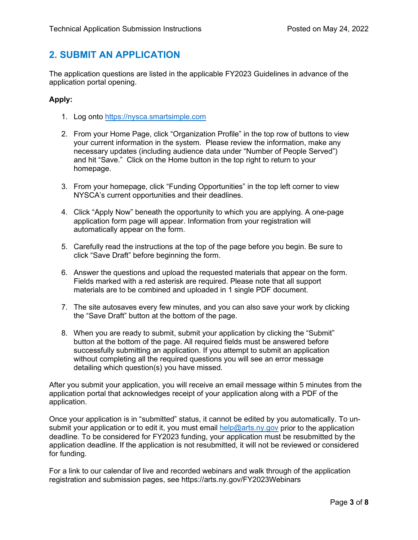# <span id="page-2-0"></span>**2. SUBMIT AN APPLICATION**

The application questions are listed in the applicable FY2023 Guidelines in advance of the application portal opening.

# **Apply:**

- 1. Log onto [https://nysca.smartsimple.com](https://nysca.smartsimple.com/)
- 2. From your Home Page, click "Organization Profile" in the top row of buttons to view your current information in the system. Please review the information, make any necessary updates (including audience data under "Number of People Served") and hit "Save." Click on the Home button in the top right to return to your homepage.
- 3. From your homepage, click "Funding Opportunities" in the top left corner to view NYSCA's current opportunities and their deadlines.
- 4. Click "Apply Now" beneath the opportunity to which you are applying. A one-page application form page will appear. Information from your registration will automatically appear on the form.
- 5. Carefully read the instructions at the top of the page before you begin. Be sure to click "Save Draft" before beginning the form.
- 6. Answer the questions and upload the requested materials that appear on the form. Fields marked with a red asterisk are required. Please note that all support materials are to be combined and uploaded in 1 single PDF document.
- 7. The site autosaves every few minutes, and you can also save your work by clicking the "Save Draft" button at the bottom of the page.
- 8. When you are ready to submit, submit your application by clicking the "Submit" button at the bottom of the page. All required fields must be answered before successfully submitting an application. If you attempt to submit an application without completing all the required questions you will see an error message detailing which question(s) you have missed.

After you submit your application, you will receive an email message within 5 minutes from the application portal that acknowledges receipt of your application along with a PDF of the application.

Once your application is in "submitted" status, it cannot be edited by you automatically. To unsubmit your application or to edit it, you must email [help@arts.ny.gov](mailto:help@arts.ny.gov) prior to the application deadline. To be considered for FY2023 funding, your application must be resubmitted by the application deadline. If the application is not resubmitted, it will not be reviewed or considered for funding.

For a link to our calendar of live and recorded webinars and walk through of the application registration and submission pages, see https://arts.ny.gov/FY2023Webinars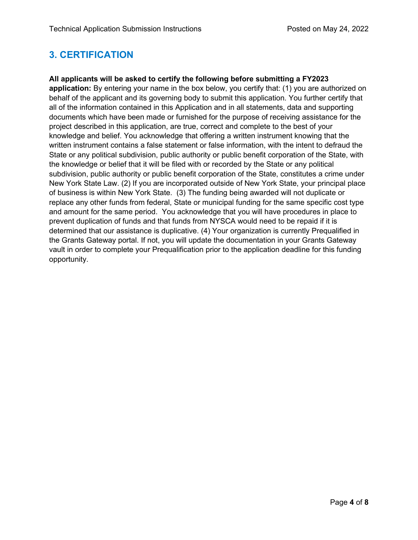# <span id="page-3-0"></span>**3. CERTIFICATION**

# **All applicants will be asked to certify the following before submitting a FY2023**

**application:** By entering your name in the box below, you certify that: (1) you are authorized on behalf of the applicant and its governing body to submit this application. You further certify that all of the information contained in this Application and in all statements, data and supporting documents which have been made or furnished for the purpose of receiving assistance for the project described in this application, are true, correct and complete to the best of your knowledge and belief. You acknowledge that offering a written instrument knowing that the written instrument contains a false statement or false information, with the intent to defraud the State or any political subdivision, public authority or public benefit corporation of the State, with the knowledge or belief that it will be filed with or recorded by the State or any political subdivision, public authority or public benefit corporation of the State, constitutes a crime under New York State Law. (2) If you are incorporated outside of New York State, your principal place of business is within New York State. (3) The funding being awarded will not duplicate or replace any other funds from federal, State or municipal funding for the same specific cost type and amount for the same period. You acknowledge that you will have procedures in place to prevent duplication of funds and that funds from NYSCA would need to be repaid if it is determined that our assistance is duplicative. (4) Your organization is currently Prequalified in the Grants Gateway portal. If not, you will update the documentation in your Grants Gateway vault in order to complete your Prequalification prior to the application deadline for this funding opportunity.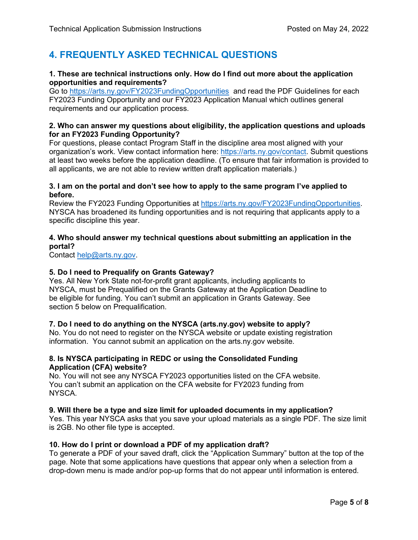# <span id="page-4-0"></span>**4. FREQUENTLY ASKED TECHNICAL QUESTIONS**

# **1. These are technical instructions only. How do I find out more about the application opportunities and requirements?**

Go to <https://arts.ny.gov/FY2023FundingOpportunities>and read the PDF Guidelines for each FY2023 Funding Opportunity and our FY2023 Application Manual which outlines general requirements and our application process.

## **2. Who can answer my questions about eligibility, the application questions and uploads for an FY2023 Funding Opportunity?**

For questions, please contact Program Staff in the discipline area most aligned with your organization's work. View contact information here: [https://arts.ny.gov/contact.](https://arts.ny.gov/contact) Submit questions at least two weeks before the application deadline. (To ensure that fair information is provided to all applicants, we are not able to review written draft application materials.)

# **3. I am on the portal and don't see how to apply to the same program I've applied to before.**

Review the FY2023 Funding Opportunities at [https://arts.ny.gov/FY2023FundingOpportunities.](https://arts.ny.gov/FY2023FundingOpportunities) NYSCA has broadened its funding opportunities and is not requiring that applicants apply to a specific discipline this year.

# **4. Who should answer my technical questions about submitting an application in the portal?**

Contact [help@arts.ny.gov.](mailto:help@arts.ny.gov)

# **5. Do I need to Prequalify on Grants Gateway?**

Yes. All New York State not-for-profit grant applicants, including applicants to NYSCA, must be Prequalified on the Grants Gateway at the Application Deadline to be eligible for funding. You can't submit an application in Grants Gateway. See section 5 below on Prequalification.

## **7. Do I need to do anything on the NYSCA (arts.ny.gov) website to apply?**

No. You do not need to register on the NYSCA website or update existing registration information. You cannot submit an application on the arts.ny.gov website.

# **8. Is NYSCA participating in REDC or using the Consolidated Funding Application (CFA) website?**

No. You will not see any NYSCA FY2023 opportunities listed on the CFA website. You can't submit an application on the CFA website for FY2023 funding from NYSCA.

## **9. Will there be a type and size limit for uploaded documents in my application?**

Yes. This year NYSCA asks that you save your upload materials as a single PDF. The size limit is 2GB. No other file type is accepted.

## **10. How do I print or download a PDF of my application draft?**

To generate a PDF of your saved draft, click the "Application Summary" button at the top of the page. Note that some applications have questions that appear only when a selection from a drop-down menu is made and/or pop-up forms that do not appear until information is entered.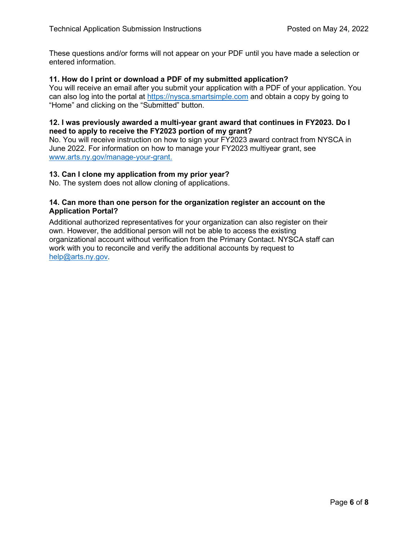These questions and/or forms will not appear on your PDF until you have made a selection or entered information.

## **11. How do I print or download a PDF of my submitted application?**

You will receive an email after you submit your application with a PDF of your application. You can also log into the portal at [https://nysca.smartsimple.com](https://nysca.smartsimple.com/) and obtain a copy by going to "Home" and clicking on the "Submitted" button.

#### **12. I was previously awarded a multi-year grant award that continues in FY2023. Do I need to apply to receive the FY2023 portion of my grant?**

No. You will receive instruction on how to sign your FY2023 award contract from NYSCA in June 2022. For information on how to manage your FY2023 multiyear grant, see [www.arts.ny.gov/manage-your-grant.](http://www.arts.ny.gov/manage-your-grant)

#### **13. Can I clone my application from my prior year?**

No. The system does not allow cloning of applications.

# **14. Can more than one person for the organization register an account on the Application Portal?**

Additional authorized representatives for your organization can also register on their own. However, the additional person will not be able to access the existing organizational account without verification from the Primary Contact. NYSCA staff can work with you to reconcile and verify the additional accounts by request to [help@arts.ny.gov.](mailto:help@arts.ny.gov)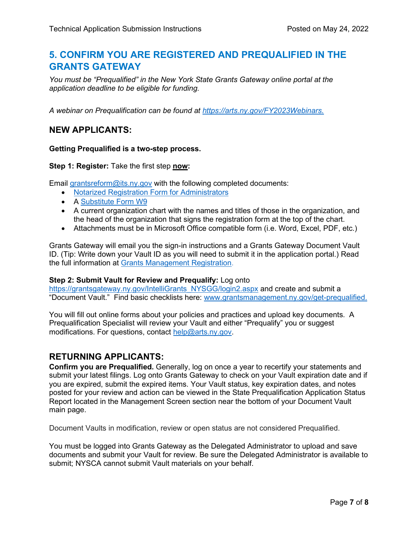# <span id="page-6-0"></span>**5. CONFIRM YOU ARE REGISTERED AND PREQUALIFIED IN THE GRANTS GATEWAY**

*You must be "Prequalified" in the New York State Grants Gateway online portal at the application deadline to be eligible for funding.*

*A webinar on Prequalification can be found at <https://arts.ny.gov/FY2023Webinars.>*

# **NEW APPLICANTS:**

## **Getting Prequalified is a two-step process.**

## **Step 1: Register:** Take the first step **now:**

Email [grantsreform@its.ny.gov](mailto:grantsreform@its.ny.gov) with the following completed documents:

- [Notarized Registration Form for Administrators](https://grantsmanagement.ny.gov/system/files/documents/2021/09/grants_gateway_registration_form_09-03-2021.pdf)
- A [Substitute Form W9](https://grantsmanagement.ny.gov/system/files/documents/2018/09/subw9.pdf)
- A current organization chart with the names and titles of those in the organization, and the head of the organization that signs the registration form at the top of the chart.
- Attachments must be in Microsoft Office compatible form (i.e. Word, Excel, PDF, etc.)

Grants Gateway will email you the sign-in instructions and a Grants Gateway Document Vault ID. (Tip: Write down your Vault ID as you will need to submit it in the application portal.) Read the full information at [Grants Management Registration.](https://grantsmanagement.ny.gov/register-your-organization)

## **Step 2: Submit Vault for Review and Prequalify:** Log onto

[https://grantsgateway.ny.gov/IntelliGrants\\_NYSGG/login2.aspx](https://grantsgateway.ny.gov/IntelliGrants_NYSGG/login2.aspx) and create and submit a "Document Vault." Find basic checklists here: [www.grantsmanagement.ny.gov/get-prequalified.](http://www.grantsmanagement.ny.gov/get-prequalified)

You will fill out online forms about your policies and practices and upload key documents. A Prequalification Specialist will review your Vault and either "Prequalify" you or suggest modifications. For questions, contact [help@arts.ny.gov.](mailto:help@arts.ny.gov)

# **RETURNING APPLICANTS:**

**Confirm you are Prequalified.** Generally, log on once a year to recertify your statements and submit your latest filings. Log onto Grants Gateway to check on your Vault expiration date and if you are expired, submit the expired items. Your Vault status, key expiration dates, and notes posted for your review and action can be viewed in the State Prequalification Application Status Report located in the Management Screen section near the bottom of your Document Vault main page.

Document Vaults in modification, review or open status are not considered Prequalified.

You must be logged into Grants Gateway as the Delegated Administrator to upload and save documents and submit your Vault for review. Be sure the Delegated Administrator is available to submit; NYSCA cannot submit Vault materials on your behalf.